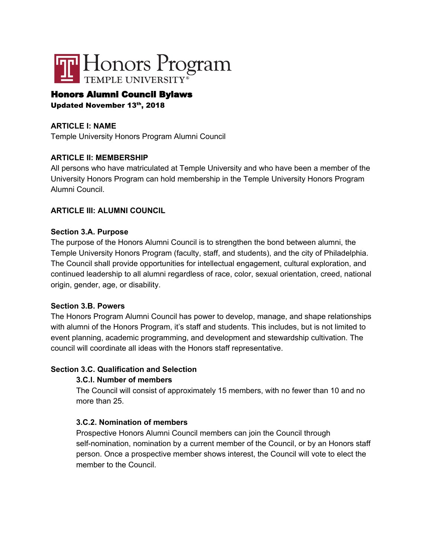

# Honors Alumni Council Bylaws

Updated November 13th, 2018

## **ARTICLE I: NAME**

Temple University Honors Program Alumni Council

### **ARTICLE II: MEMBERSHIP**

All persons who have matriculated at Temple University and who have been a member of the University Honors Program can hold membership in the Temple University Honors Program Alumni Council.

#### **ARTICLE III: ALUMNI COUNCIL**

#### **Section 3.A. Purpose**

The purpose of the Honors Alumni Council is to strengthen the bond between alumni, the Temple University Honors Program (faculty, staff, and students), and the city of Philadelphia. The Council shall provide opportunities for intellectual engagement, cultural exploration, and continued leadership to all alumni regardless of race, color, sexual orientation, creed, national origin, gender, age, or disability.

#### **Section 3.B. Powers**

The Honors Program Alumni Council has power to develop, manage, and shape relationships with alumni of the Honors Program, it's staff and students. This includes, but is not limited to event planning, academic programming, and development and stewardship cultivation. The council will coordinate all ideas with the Honors staff representative.

### **Section 3.C. Qualification and Selection**

### **3.C.l. Number of members**

The Council will consist of approximately 15 members, with no fewer than 10 and no more than 25.

### **3.C.2. Nomination of members**

Prospective Honors Alumni Council members can join the Council through self-nomination, nomination by a current member of the Council, or by an Honors staff person. Once a prospective member shows interest, the Council will vote to elect the member to the Council.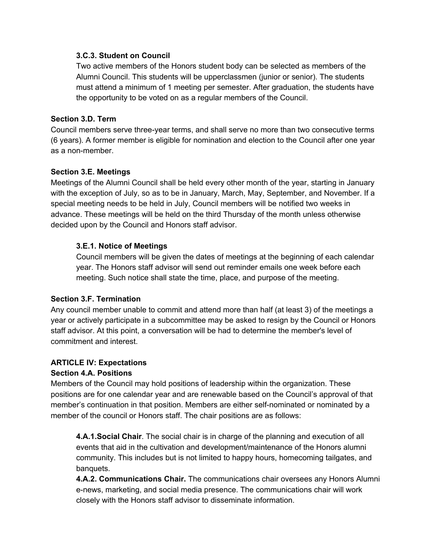#### **3.C.3. Student on Council**

Two active members of the Honors student body can be selected as members of the Alumni Council. This students will be upperclassmen (junior or senior). The students must attend a minimum of 1 meeting per semester. After graduation, the students have the opportunity to be voted on as a regular members of the Council.

#### **Section 3.D. Term**

Council members serve three-year terms, and shall serve no more than two consecutive terms (6 years). A former member is eligible for nomination and election to the Council after one year as a non-member.

### **Section 3.E. Meetings**

Meetings of the Alumni Council shall be held every other month of the year, starting in January with the exception of July, so as to be in January, March, May, September, and November. If a special meeting needs to be held in July, Council members will be notified two weeks in advance. These meetings will be held on the third Thursday of the month unless otherwise decided upon by the Council and Honors staff advisor.

### **3.E.1. Notice of Meetings**

Council members will be given the dates of meetings at the beginning of each calendar year. The Honors staff advisor will send out reminder emails one week before each meeting. Such notice shall state the time, place, and purpose of the meeting.

### **Section 3.F. Termination**

Any council member unable to commit and attend more than half (at least 3) of the meetings a year or actively participate in a subcommittee may be asked to resign by the Council or Honors staff advisor. At this point, a conversation will be had to determine the member's level of commitment and interest.

### **ARTICLE IV: Expectations**

### **Section 4.A. Positions**

Members of the Council may hold positions of leadership within the organization. These positions are for one calendar year and are renewable based on the Council's approval of that member's continuation in that position. Members are either self-nominated or nominated by a member of the council or Honors staff. The chair positions are as follows:

**4.A.1.Social Chair**. The social chair is in charge of the planning and execution of all events that aid in the cultivation and development/maintenance of the Honors alumni community. This includes but is not limited to happy hours, homecoming tailgates, and banquets.

**4.A.2. Communications Chair.** The communications chair oversees any Honors Alumni e-news, marketing, and social media presence. The communications chair will work closely with the Honors staff advisor to disseminate information.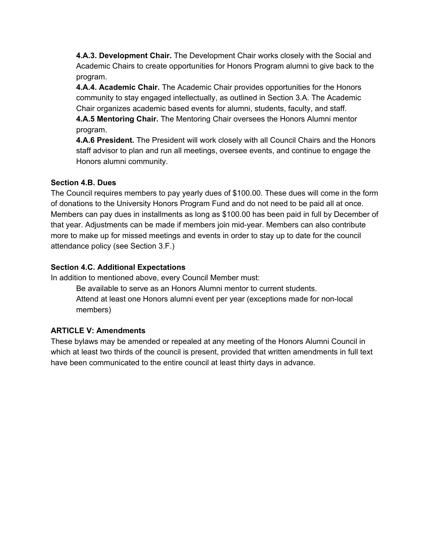**4.A.3. Development Chair.** The Development Chair works closely with the Social and Academic Chairs to create opportunities for Honors Program alumni to give back to the program.

**4.A.4. Academic Chair.** The Academic Chair provides opportunities for the Honors community to stay engaged intellectually, as outlined in Section 3.A. The Academic Chair organizes academic based events for alumni, students, faculty, and staff. **4.A.5 Mentoring Chair.** The Mentoring Chair oversees the Honors Alumni mentor

program.

**4.A.6 President.** The President will work closely with all Council Chairs and the Honors staff advisor to plan and run all meetings, oversee events, and continue to engage the Honors alumni community.

## **Section 4.B. Dues**

The Council requires members to pay yearly dues of \$100.00. These dues will come in the form of donations to the University Honors Program Fund and do not need to be paid all at once. Members can pay dues in installments as long as \$100.00 has been paid in full by December of that year. Adjustments can be made if members join mid-year. Members can also contribute more to make up for missed meetings and events in order to stay up to date for the council attendance policy (see Section 3.F.)

## **Section 4.C. Additional Expectations**

In addition to mentioned above, every Council Member must:

Be available to serve as an Honors Alumni mentor to current students. Attend at least one Honors alumni event per year (exceptions made for non-local members)

# **ARTICLE V: Amendments**

These bylaws may be amended or repealed at any meeting of the Honors Alumni Council in which at least two thirds of the council is present, provided that written amendments in full text have been communicated to the entire council at least thirty days in advance.